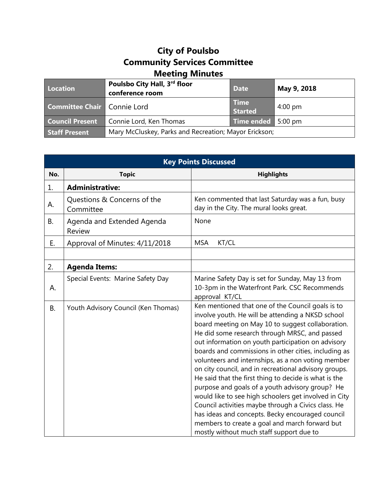## **City of Poulsbo Community Services Committee Meeting Minutes**

| Location                           | Poulsbo City Hall, 3rd floor<br>conference room       | <b>Date</b>                   | May 9, 2018       |
|------------------------------------|-------------------------------------------------------|-------------------------------|-------------------|
| <b>Committee Chair Connie Lord</b> |                                                       | <b>Time</b><br><b>Started</b> | $4:00 \text{ pm}$ |
| <b>Council Present</b>             | Connie Lord, Ken Thomas                               | Time ended 5:00 pm            |                   |
| <b>Staff Present</b>               | Mary McCluskey, Parks and Recreation; Mayor Erickson; |                               |                   |

| <b>Key Points Discussed</b> |                                          |                                                                                                                                                                                                                                                                                                                                                                                                                                                                                                                                                                                                                                                                                                                                                                                                                         |  |
|-----------------------------|------------------------------------------|-------------------------------------------------------------------------------------------------------------------------------------------------------------------------------------------------------------------------------------------------------------------------------------------------------------------------------------------------------------------------------------------------------------------------------------------------------------------------------------------------------------------------------------------------------------------------------------------------------------------------------------------------------------------------------------------------------------------------------------------------------------------------------------------------------------------------|--|
| No.                         | <b>Topic</b>                             | <b>Highlights</b>                                                                                                                                                                                                                                                                                                                                                                                                                                                                                                                                                                                                                                                                                                                                                                                                       |  |
| 1.                          | <b>Administrative:</b>                   |                                                                                                                                                                                                                                                                                                                                                                                                                                                                                                                                                                                                                                                                                                                                                                                                                         |  |
| А.                          | Questions & Concerns of the<br>Committee | Ken commented that last Saturday was a fun, busy<br>day in the City. The mural looks great.                                                                                                                                                                                                                                                                                                                                                                                                                                                                                                                                                                                                                                                                                                                             |  |
| <b>B.</b>                   | Agenda and Extended Agenda<br>Review     | None                                                                                                                                                                                                                                                                                                                                                                                                                                                                                                                                                                                                                                                                                                                                                                                                                    |  |
| E.                          | Approval of Minutes: 4/11/2018           | <b>MSA</b><br>KT/CL                                                                                                                                                                                                                                                                                                                                                                                                                                                                                                                                                                                                                                                                                                                                                                                                     |  |
|                             |                                          |                                                                                                                                                                                                                                                                                                                                                                                                                                                                                                                                                                                                                                                                                                                                                                                                                         |  |
| 2.                          | <b>Agenda Items:</b>                     |                                                                                                                                                                                                                                                                                                                                                                                                                                                                                                                                                                                                                                                                                                                                                                                                                         |  |
| А.                          | Special Events: Marine Safety Day        | Marine Safety Day is set for Sunday, May 13 from<br>10-3pm in the Waterfront Park. CSC Recommends<br>approval KT/CL                                                                                                                                                                                                                                                                                                                                                                                                                                                                                                                                                                                                                                                                                                     |  |
| <b>B.</b>                   | Youth Advisory Council (Ken Thomas)      | Ken mentioned that one of the Council goals is to<br>involve youth. He will be attending a NKSD school<br>board meeting on May 10 to suggest collaboration.<br>He did some research through MRSC, and passed<br>out information on youth participation on advisory<br>boards and commissions in other cities, including as<br>volunteers and internships, as a non voting member<br>on city council, and in recreational advisory groups.<br>He said that the first thing to decide is what is the<br>purpose and goals of a youth advisory group? He<br>would like to see high schoolers get involved in City<br>Council activities maybe through a Civics class. He<br>has ideas and concepts. Becky encouraged council<br>members to create a goal and march forward but<br>mostly without much staff support due to |  |